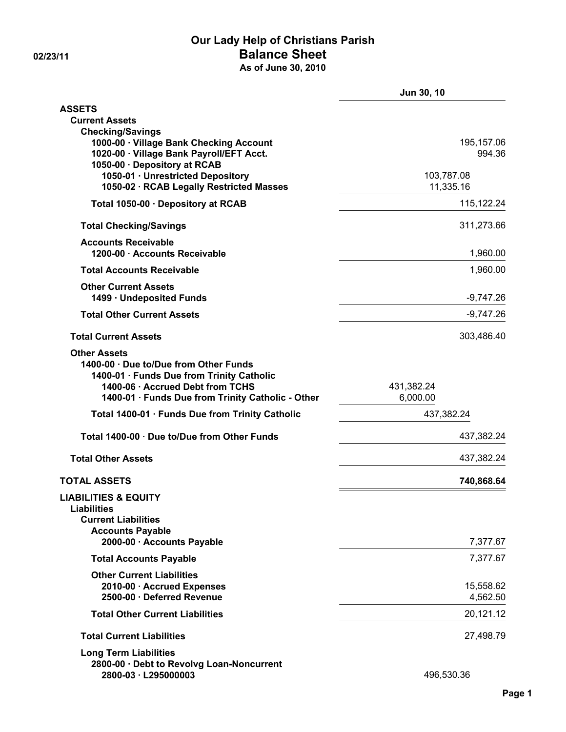### **Our Lady Help of Christians Parish 02/23/11 Balance Sheet As of June 30, 2010**

|                                                                                                                                                                                                    | Jun 30, 10              |  |
|----------------------------------------------------------------------------------------------------------------------------------------------------------------------------------------------------|-------------------------|--|
| <b>ASSETS</b>                                                                                                                                                                                      |                         |  |
| <b>Current Assets</b>                                                                                                                                                                              |                         |  |
| <b>Checking/Savings</b><br>1000-00 · Village Bank Checking Account<br>1020-00 · Village Bank Payroll/EFT Acct.<br>1050-00 · Depository at RCAB                                                     | 195,157.06<br>994.36    |  |
| 1050-01 · Unrestricted Depository<br>1050-02 · RCAB Legally Restricted Masses                                                                                                                      | 103,787.08<br>11,335.16 |  |
| Total 1050-00 · Depository at RCAB                                                                                                                                                                 | 115,122.24              |  |
| <b>Total Checking/Savings</b>                                                                                                                                                                      | 311,273.66              |  |
| <b>Accounts Receivable</b><br>1200-00 · Accounts Receivable                                                                                                                                        | 1,960.00                |  |
| <b>Total Accounts Receivable</b>                                                                                                                                                                   | 1,960.00                |  |
| <b>Other Current Assets</b><br>1499 · Undeposited Funds                                                                                                                                            | $-9,747.26$             |  |
| <b>Total Other Current Assets</b>                                                                                                                                                                  | $-9,747.26$             |  |
| <b>Total Current Assets</b>                                                                                                                                                                        | 303,486.40              |  |
| <b>Other Assets</b><br>1400-00 · Due to/Due from Other Funds<br>1400-01 · Funds Due from Trinity Catholic<br>1400-06 · Accrued Debt from TCHS<br>1400-01 · Funds Due from Trinity Catholic - Other | 431,382.24<br>6,000.00  |  |
| Total 1400-01 · Funds Due from Trinity Catholic                                                                                                                                                    | 437,382.24              |  |
| Total 1400-00 · Due to/Due from Other Funds                                                                                                                                                        | 437,382.24              |  |
| <b>Total Other Assets</b>                                                                                                                                                                          | 437,382.24              |  |
| <b>TOTAL ASSETS</b>                                                                                                                                                                                | 740,868.64              |  |
| <b>LIABILITIES &amp; EQUITY</b><br><b>Liabilities</b><br><b>Current Liabilities</b><br><b>Accounts Payable</b><br>2000-00 · Accounts Payable                                                       | 7,377.67                |  |
| <b>Total Accounts Payable</b>                                                                                                                                                                      | 7,377.67                |  |
| <b>Other Current Liabilities</b><br>2010-00 · Accrued Expenses<br>2500-00 · Deferred Revenue                                                                                                       | 15,558.62<br>4,562.50   |  |
| <b>Total Other Current Liabilities</b>                                                                                                                                                             | 20,121.12               |  |
| <b>Total Current Liabilities</b>                                                                                                                                                                   | 27,498.79               |  |
| <b>Long Term Liabilities</b><br>2800-00 · Debt to Revolvg Loan-Noncurrent<br>2800-03 · L295000003                                                                                                  | 496,530.36              |  |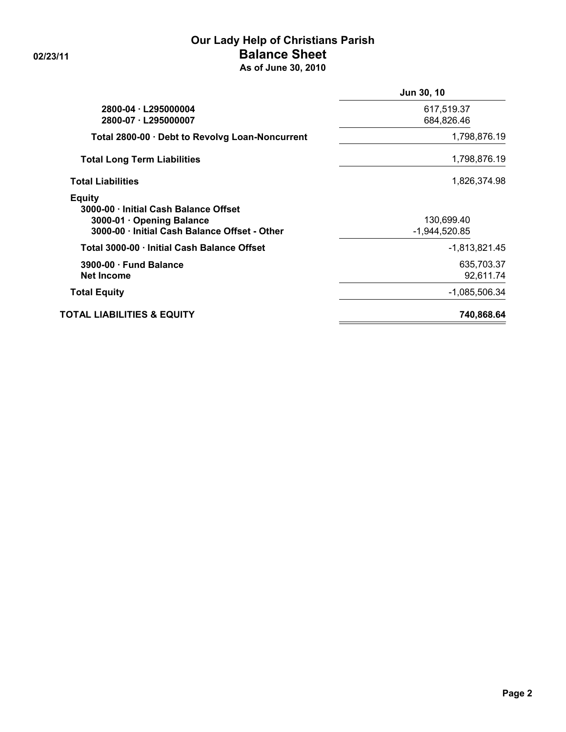### **Our Lady Help of Christians Parish 02/23/11 Balance Sheet As of June 30, 2010**

|                                                                                                                                      | Jun 30, 10                    |
|--------------------------------------------------------------------------------------------------------------------------------------|-------------------------------|
| 2800-04 · L295000004<br>2800-07 · L295000007                                                                                         | 617,519.37<br>684,826.46      |
| Total 2800-00 · Debt to Revolvg Loan-Noncurrent                                                                                      | 1,798,876.19                  |
| <b>Total Long Term Liabilities</b>                                                                                                   | 1,798,876.19                  |
| <b>Total Liabilities</b>                                                                                                             | 1,826,374.98                  |
| <b>Equity</b><br>3000-00 · Initial Cash Balance Offset<br>3000-01 · Opening Balance<br>3000-00 · Initial Cash Balance Offset - Other | 130,699.40<br>$-1,944,520.85$ |
| Total 3000-00 · Initial Cash Balance Offset                                                                                          | -1,813,821.45                 |
| $3900-00 \cdot$ Fund Balance<br><b>Net Income</b>                                                                                    | 635,703.37<br>92,611.74       |
| <b>Total Equity</b>                                                                                                                  | -1,085,506.34                 |
| <b>TOTAL LIABILITIES &amp; EQUITY</b>                                                                                                | 740,868.64                    |
|                                                                                                                                      |                               |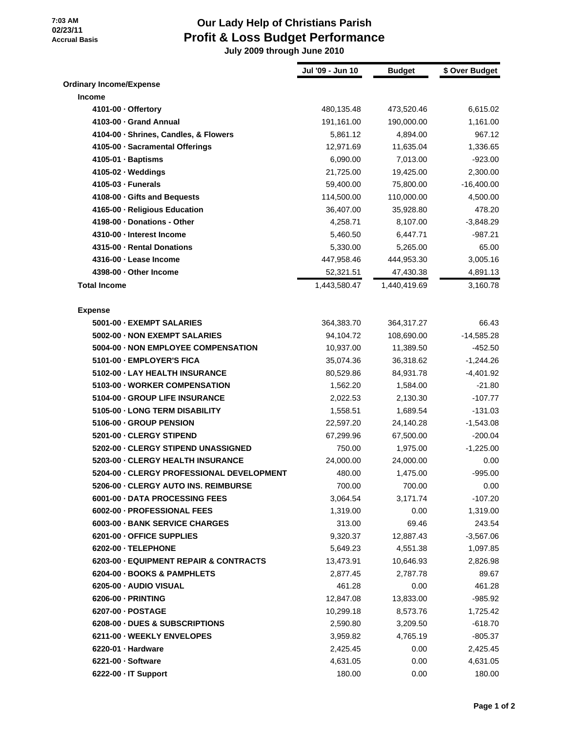### **7:03 AM 02/23/11 Accrual Basis**

# **Our Lady Help of Christians Parish Profit & Loss Budget Performance**

 **July 2009 through June 2010**

|                                           | Jul '09 - Jun 10 | <b>Budget</b> | \$ Over Budget |
|-------------------------------------------|------------------|---------------|----------------|
| <b>Ordinary Income/Expense</b>            |                  |               |                |
| <b>Income</b>                             |                  |               |                |
| 4101-00 - Offertory                       | 480,135.48       | 473,520.46    | 6,615.02       |
| 4103-00 - Grand Annual                    | 191,161.00       | 190,000.00    | 1,161.00       |
| 4104-00 · Shrines, Candles, & Flowers     | 5,861.12         | 4,894.00      | 967.12         |
| 4105-00 · Sacramental Offerings           | 12,971.69        | 11,635.04     | 1,336.65       |
| 4105-01 · Baptisms                        | 6,090.00         | 7,013.00      | $-923.00$      |
| $4105-02 \cdot W$ eddings                 | 21,725.00        | 19,425.00     | 2,300.00       |
| 4105-03 - Funerals                        | 59,400.00        | 75,800.00     | $-16,400.00$   |
| 4108-00 · Gifts and Bequests              | 114,500.00       | 110,000.00    | 4,500.00       |
| 4165-00 - Religious Education             | 36,407.00        | 35,928.80     | 478.20         |
| 4198-00 - Donations - Other               | 4,258.71         | 8,107.00      | $-3,848.29$    |
| 4310-00 - Interest Income                 | 5,460.50         | 6,447.71      | $-987.21$      |
| 4315-00 - Rental Donations                | 5,330.00         | 5,265.00      | 65.00          |
| 4316-00 - Lease Income                    | 447,958.46       | 444,953.30    | 3,005.16       |
| 4398-00 - Other Income                    | 52,321.51        | 47,430.38     | 4,891.13       |
| <b>Total Income</b>                       | 1,443,580.47     | 1,440,419.69  | 3,160.78       |
|                                           |                  |               |                |
| <b>Expense</b>                            |                  |               |                |
| 5001-00 - EXEMPT SALARIES                 | 364,383.70       | 364,317.27    | 66.43          |
| 5002-00 - NON EXEMPT SALARIES             | 94,104.72        | 108,690.00    | $-14,585.28$   |
| 5004-00 - NON EMPLOYEE COMPENSATION       | 10,937.00        | 11,389.50     | $-452.50$      |
| 5101-00 - EMPLOYER'S FICA                 | 35,074.36        | 36,318.62     | $-1,244.26$    |
| 5102-00 - LAY HEALTH INSURANCE            | 80,529.86        | 84,931.78     | $-4,401.92$    |
| 5103-00 - WORKER COMPENSATION             | 1,562.20         | 1,584.00      | $-21.80$       |
| 5104-00 - GROUP LIFE INSURANCE            | 2,022.53         | 2,130.30      | $-107.77$      |
| 5105-00 - LONG TERM DISABILITY            | 1,558.51         | 1,689.54      | $-131.03$      |
| 5106-00 - GROUP PENSION                   | 22,597.20        | 24,140.28     | $-1,543.08$    |
| 5201-00 - CLERGY STIPEND                  | 67,299.96        | 67,500.00     | $-200.04$      |
| 5202-00 - CLERGY STIPEND UNASSIGNED       | 750.00           | 1,975.00      | $-1,225.00$    |
| 5203-00 - CLERGY HEALTH INSURANCE         | 24,000.00        | 24,000.00     | 0.00           |
| 5204-00 - CLERGY PROFESSIONAL DEVELOPMENT | 480.00           | 1,475.00      | $-995.00$      |
| 5206-00 - CLERGY AUTO INS. REIMBURSE      | 700.00           | 700.00        | 0.00           |
| 6001-00 - DATA PROCESSING FEES            | 3,064.54         | 3,171.74      | $-107.20$      |
| 6002-00 - PROFESSIONAL FEES               | 1,319.00         | 0.00          | 1,319.00       |
| 6003-00 - BANK SERVICE CHARGES            | 313.00           | 69.46         | 243.54         |
| 6201-00 - OFFICE SUPPLIES                 | 9,320.37         | 12,887.43     | $-3,567.06$    |
| 6202-00 TELEPHONE                         | 5,649.23         | 4,551.38      | 1,097.85       |
| 6203-00 - EQUIPMENT REPAIR & CONTRACTS    | 13,473.91        | 10,646.93     | 2,826.98       |
| 6204-00 - BOOKS & PAMPHLETS               | 2,877.45         | 2,787.78      | 89.67          |
| 6205-00 - AUDIO VISUAL                    | 461.28           | 0.00          | 461.28         |
| 6206-00 - PRINTING                        | 12,847.08        | 13,833.00     | $-985.92$      |
| 6207-00 - POSTAGE                         | 10,299.18        | 8,573.76      | 1,725.42       |
| 6208-00 - DUES & SUBSCRIPTIONS            | 2,590.80         | 3,209.50      | $-618.70$      |
| 6211-00 - WEEKLY ENVELOPES                | 3,959.82         | 4,765.19      | $-805.37$      |
| 6220-01 · Hardware                        | 2,425.45         | 0.00          | 2,425.45       |
| 6221-00 - Software                        | 4,631.05         | 0.00          | 4,631.05       |
| 6222-00 - IT Support                      | 180.00           | 0.00          | 180.00         |